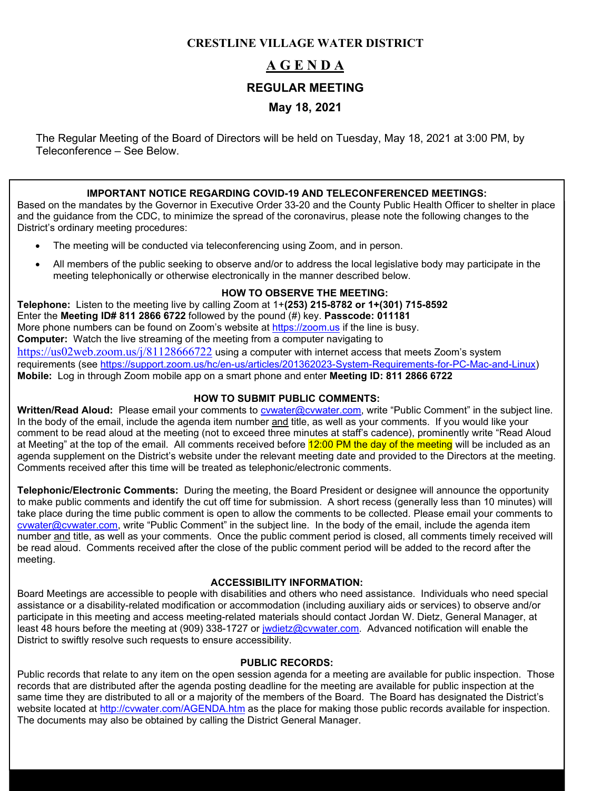# **CRESTLINE VILLAGE WATER DISTRICT**

# **A G E N D A REGULAR MEETING May 18, 2021**

The Regular Meeting of the Board of Directors will be held on Tuesday, May 18, 2021 at 3:00 PM, by Teleconference – See Below.

### **IMPORTANT NOTICE REGARDING COVID-19 AND TELECONFERENCED MEETINGS:**

Based on the mandates by the Governor in Executive Order 33-20 and the County Public Health Officer to shelter in place and the guidance from the CDC, to minimize the spread of the coronavirus, please note the following changes to the District's ordinary meeting procedures:

- The meeting will be conducted via teleconferencing using Zoom, and in person.
- All members of the public seeking to observe and/or to address the local legislative body may participate in the meeting telephonically or otherwise electronically in the manner described below.

#### **HOW TO OBSERVE THE MEETING:**

**Telephone:** Listen to the meeting live by calling Zoom at 1+**(253) 215-8782 or 1+(301) 715-8592** Enter the **Meeting ID# 811 2866 6722** followed by the pound (#) key. **Passcode: 011181** More phone numbers can be found on Zoom's website at [https://zoom.us](https://zoom.us/) if the line is busy. **Computer:** Watch the live streaming of the meeting from a computer navigating to <https://us02web.zoom.us/j/81128666722> using a computer with internet access that meets Zoom's system requirements (see [https://support.zoom.us/hc/en-us/articles/201362023-System-Requirements-for-PC-Mac-and-Linux\)](https://support.zoom.us/hc/en-us/articles/201362023-System-Requirements-for-PC-Mac-and-Linux) **Mobile:** Log in through Zoom mobile app on a smart phone and enter **Meeting ID: 811 2866 6722**

#### **HOW TO SUBMIT PUBLIC COMMENTS:**

**Written/Read Aloud:** Please email your comments to [cvwater@cvwater.com,](mailto:cvwater@cvwater.com) write "Public Comment" in the subject line. In the body of the email, include the agenda item number and title, as well as your comments. If you would like your comment to be read aloud at the meeting (not to exceed three minutes at staff's cadence), prominently write "Read Aloud at Meeting" at the top of the email. All comments received before 12:00 PM the day of the meeting will be included as an agenda supplement on the District's website under the relevant meeting date and provided to the Directors at the meeting. Comments received after this time will be treated as telephonic/electronic comments.

**Telephonic/Electronic Comments:** During the meeting, the Board President or designee will announce the opportunity to make public comments and identify the cut off time for submission. A short recess (generally less than 10 minutes) will take place during the time public comment is open to allow the comments to be collected. Please email your comments to [cvwater@cvwater.com,](mailto:cvwater@cvwater.com) write "Public Comment" in the subject line. In the body of the email, include the agenda item number and title, as well as your comments. Once the public comment period is closed, all comments timely received will be read aloud. Comments received after the close of the public comment period will be added to the record after the meeting.

### **ACCESSIBILITY INFORMATION:**

Board Meetings are accessible to people with disabilities and others who need assistance. Individuals who need special assistance or a disability-related modification or accommodation (including auxiliary aids or services) to observe and/or participate in this meeting and access meeting-related materials should contact Jordan W. Dietz, General Manager, at least 48 hours before the meeting at (909) 338-1727 or [jwdietz@cvwater.com.](mailto:jwdietz@cvwater.com) Advanced notification will enable the District to swiftly resolve such requests to ensure accessibility.

#### **PUBLIC RECORDS:**

Public records that relate to any item on the open session agenda for a meeting are available for public inspection. Those records that are distributed after the agenda posting deadline for the meeting are available for public inspection at the same time they are distributed to all or a majority of the members of the Board. The Board has designated the District's website located at<http://cvwater.com/AGENDA.htm> as the place for making those public records available for inspection. The documents may also be obtained by calling the District General Manager.